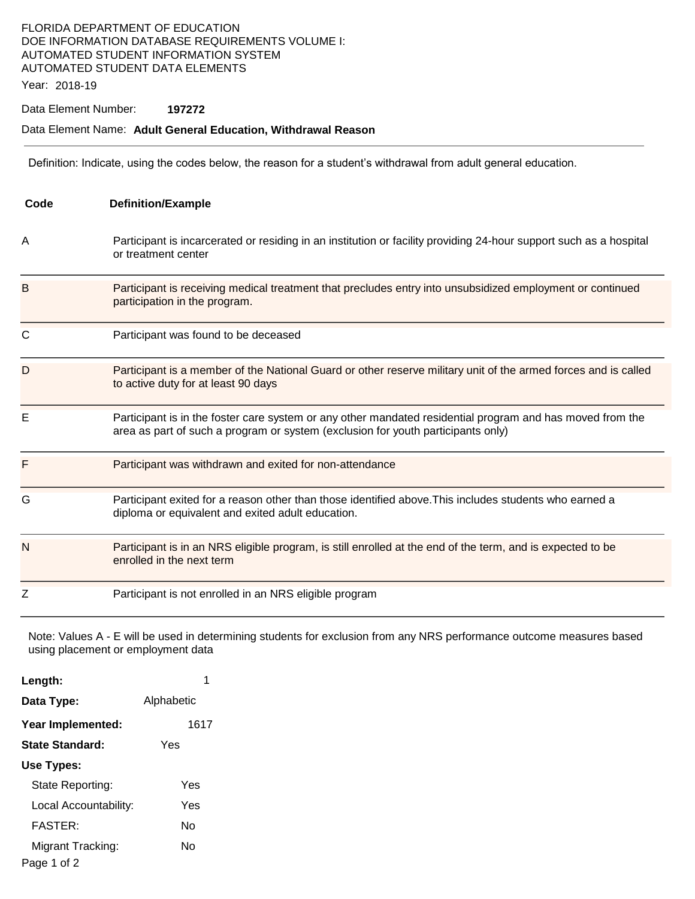# FLORIDA DEPARTMENT OF EDUCATION DOE INFORMATION DATABASE REQUIREMENTS VOLUME I: AUTOMATED STUDENT INFORMATION SYSTEM AUTOMATED STUDENT DATA ELEMENTS

Year: 2018-19

### Data Element Number: **197272**

#### Data Element Name: **Adult General Education, Withdrawal Reason**

Definition: Indicate, using the codes below, the reason for a student's withdrawal from adult general education.

| Code | <b>Definition/Example</b>                                                                                                                                                                     |
|------|-----------------------------------------------------------------------------------------------------------------------------------------------------------------------------------------------|
| Α    | Participant is incarcerated or residing in an institution or facility providing 24-hour support such as a hospital<br>or treatment center                                                     |
| B    | Participant is receiving medical treatment that precludes entry into unsubsidized employment or continued<br>participation in the program.                                                    |
| C    | Participant was found to be deceased                                                                                                                                                          |
| D    | Participant is a member of the National Guard or other reserve military unit of the armed forces and is called<br>to active duty for at least 90 days                                         |
| E    | Participant is in the foster care system or any other mandated residential program and has moved from the<br>area as part of such a program or system (exclusion for youth participants only) |
| F    | Participant was withdrawn and exited for non-attendance                                                                                                                                       |
| G    | Participant exited for a reason other than those identified above. This includes students who earned a<br>diploma or equivalent and exited adult education.                                   |
| N    | Participant is in an NRS eligible program, is still enrolled at the end of the term, and is expected to be<br>enrolled in the next term                                                       |
| Z    | Participant is not enrolled in an NRS eligible program                                                                                                                                        |

Note: Values A - E will be used in determining students for exclusion from any NRS performance outcome measures based using placement or employment data

| Length:                          | 1          |
|----------------------------------|------------|
| Data Type:                       | Alphabetic |
| Year Implemented:                | 1617       |
| State Standard:                  | Yes        |
| Use Types:                       |            |
| State Reporting:                 | Yes        |
| Local Accountability:            | Yes        |
| <b>FASTER:</b>                   | N٥         |
| Migrant Tracking:<br>Page 1 of 2 | N٥         |